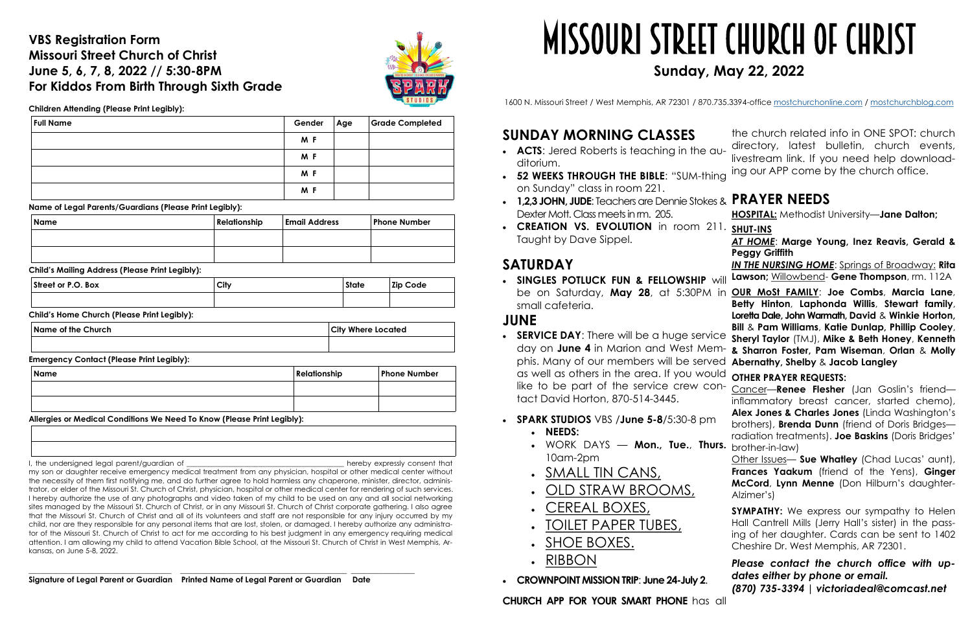### **VBS Registration Form Missouri Street Church of Christ June 5, 6, 7, 8, 2022 // 5:30-8PM For Kiddos From Birth Through Sixth Grade**



**Children Attending (Please Print Legibly):**

**Name of Legal Parents/Guardians (Please Print Legibly):**

**Child's Mailing Address (Please Print Legibly):**

**Child's Home Church (Please Print Legibly):**

**Emergency Contact (Please Print Legibly):**

### **Allergies or Medical Conditions We Need To Know (Please Print Legibly):**

I, the undersigned legal parent/guardian of \_\_\_\_\_\_\_\_\_\_\_\_\_\_\_\_\_\_\_\_\_\_\_\_\_\_\_\_\_\_\_\_\_\_\_\_\_\_\_\_\_\_\_\_ hereby expressly consent that

my son or daughter receive emergency medical treatment from any physician, hospital or other medical center without the necessity of them first notifying me, and do further agree to hold harmless any chaperone, minister, director, administrator, or elder of the Missouri St. Church of Christ, physician, hospital or other medical center for rendering of such services. I hereby authorize the use of any photographs and video taken of my child to be used on any and all social networking sites managed by the Missouri St. Church of Christ, or in any Missouri St. Church of Christ corporate gathering. I also agree that the Missouri St. Church of Christ and all of its volunteers and staff are not responsible for any injury occurred by my child, nor are they responsible for any personal items that are lost, stolen, or damaged. I hereby authorize any administrator of the Missouri St. Church of Christ to act for me according to his best judgment in any emergency requiring medical attention. I am allowing my child to attend Vacation Bible School, at the Missouri St. Church of Christ in West Memphis, Arkansas, on June 5-8, 2022.

- **SERVICE DAY**: There will be a huge service sheryl Taylor (TMJ), Mike & Beth Honey, Kenneth day on **June 4** in Marion and West Mem-**& Sharron Foster, Pam Wiseman**, **Orlan** & **Molly**  phis. Many of our members will be served **Abernathy, Shelby** & **Jacob Langley** as well as others in the area. If you would like to be part of the service crew contact David Horton, 870-514-3445. **OTHER PRAYER REQUESTS:**  Cancer—**Renee Flesher** (Jan Goslin's friend inflammatory breast cancer, started chemo), **Alex Jones & Charles Jones** (Linda Washington's
- **SPARK STUDIOS** VBS /**June 5-8**/5:30-8 pm **NEEDS:**  brothers), **Brenda Dunn** (friend of Doris Bridges radiation treatments). **Joe Baskins** (Doris Bridges'
	- WORK DAYS **Mon., Tue.**, **Thurs.** brother-in-law) 10am-2pm
	- . SMALL TIN CANS,
	- OLD STRAW BROOMS,
	- CEREAL BOXES,
	- . TOILET PAPER TUBES,
	- SHOE BOXES.
	- RIBBON
- **CROWNPOINT MISSION TRIP**: **June 24-July 2**.

\_\_\_\_\_\_\_\_\_\_\_\_\_\_\_\_\_\_\_\_\_\_\_\_\_\_\_\_\_\_\_\_\_\_\_\_ \_\_\_\_\_\_\_\_\_\_\_\_\_\_\_\_\_\_\_\_\_\_\_\_\_\_\_\_\_\_\_\_\_\_\_\_\_\_\_\_\_\_ \_\_\_\_\_\_\_\_\_\_\_\_\_\_\_\_ **Signature of Legal Parent or Guardian Printed Name of Legal Parent or Guardian Date**

| <b>Full Name</b> | Gender | Age | <b>Grade Completed</b> |
|------------------|--------|-----|------------------------|
|                  | M F    |     |                        |
|                  | M F    |     |                        |
|                  | M F    |     |                        |
|                  | M F    |     |                        |

| <b>Name</b> | Relationship | <b>Email Address</b> | <b>Phone Number</b> |  |
|-------------|--------------|----------------------|---------------------|--|
|             |              |                      |                     |  |
|             |              |                      |                     |  |

| Street or P.O. Box | City | <b>State</b> | Zip Code |
|--------------------|------|--------------|----------|
|                    |      |              |          |

**Name of the Church City Where Located**

| Name | Relationship | <b>Phone Number</b> |
|------|--------------|---------------------|
|      |              |                     |
|      |              |                     |

# **SUNDAY MORNING CLASSES**

**SYMPATHY:** We express our sympathy to Helen Hall Cantrell Mills (Jerry Hall's sister) in the passing of her daughter. Cards can be sent to 1402 Cheshire Dr. West Memphis, AR 72301.

## **SATURDAY**

- **ACTS**: Jered Roberts is teaching in the auditorium.
- **52 WEEKS THROUGH THE BIBLE:** "SUM-thing <sup>ing our APP come by the church office.</sup> on Sunday" class in room 221.
- **1,2,3 JOHN, JUDE**: Teachers are Dennie Stokes & **PRAYER NEEDS** Dexter Mott. Class meets in rm. 205. **HOSPITAL:** Methodist University—**Jane Dalton;**
- **CREATION VS. EVOLUTION** in room 211. **SHUT-INS** Taught by Dave Sippel. *AT HOME*: **Marge Young, Inez Reavis, Gerald & Peggy Griffith**

 **SINGLES POTLUCK FUN & FELLOWSHIP** will be on Saturday, **May 28**, at 5:30PM in **OUR MoSt FAMILY**: **Joe Combs**, **Marcia Lane**, small cafeteria. **JUNE Betty Hinton**, **Laphonda Willis**, **Stewart family**, **Loretta Dale, John Warmath, David** & **Winkie Horton, Bill** & **Pam Williams**, **Katie Dunlap, Phillip Cooley**,

**CHURCH APP FOR YOUR SMART PHONE** has all

the church related info in ONE SPOT: church directory, latest bulletin, church events, livestream link. If you need help download-

*IN THE NURSING HOME*: Springs of Broadway: **Rita Lawson;** Willowbend- **Gene Thompson**, rm. 112A

Other Issues— **Sue Whatley** (Chad Lucas' aunt), **Frances Yaakum** (friend of the Yens), **Ginger McCord**, **Lynn Menne** (Don Hilburn's daughter-Alzimer's)

*Please contact the church office with updates either by phone or email. (870) 735-3394 | victoriadeal@comcast.net* 

# Missouri Street Church of Christ **Sunday, May 22, 2022**

1600 N. Missouri Street / West Memphis, AR 72301 / 870.735.3394-office [mostchurchonline.com](https://www.mostchurchonline.com/) / [mostchurchblog.com](https://mostchurchblog.com/)